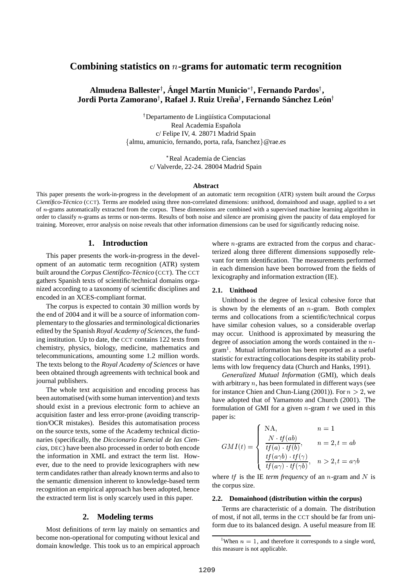# **Combining statistics on -grams for automatic term recognition**

#### **Almudena Ballester , Angel ´ Mart´ın Municio**- **, Fernando Pardos , Jordi Porta Zamorano , Rafael J. Ruiz Urena˜ , Fernando Sanchez ´ Leon´**

<sup>†</sup>Departamento de Lingüística Computacional Real Academia Española c/ Felipe IV, 4. 28071 Madrid Spain almu, amunicio, fernando, porta, rafa, fsanchez @rae.es

> Real Academia de Ciencias c/ Valverde, 22-24. 28004 Madrid Spain

#### **Abstract**

This paper presents the work-in-progress in the development of an automatic term recognition (ATR) system built around the *Corpus Científico-Técnico* (CCT). Terms are modeled using three non-correlated dimensions: unithood, domainhood and usage, applied to a set of  $n$ -grams automatically extracted from the corpus. These dimensions are combined with a supervised machine learning algorithm in order to classify n-grams as terms or non-terms. Results of both noise and silence are promising given the paucity of data employed for training. Moreover, error analysis on noise reveals that other information dimensions can be used for significantly reducing noise.

#### **1. Introduction**

This paper presents the work-in-progress in the development of an automatic term recognition (ATR) system built around the *Corpus Científico-Técnico* (CCT). The CCT gathers Spanish texts of scientific/technical domains organized according to a taxonomy of scientific disciplines and encoded in an XCES-compliant format.

The corpus is expected to contain 30 million words by the end of 2004 and it will be a source of information complementary to the glossaries and terminological dictionaries edited by the Spanish *Royal Academy of Sciences*, the funding institution. Up to date, the CCT contains 122 texts from chemistry, physics, biology, medicine, mathematics and telecommunications, amounting some 1.2 million words. The texts belong to the *Royal Academy of Sciences* or have been obtained through agreements with technical book and journal publishers.

The whole text acquisition and encoding process has been automatised (with some human intervention) and texts should exist in a previous electronic form to achieve an acquisition faster and less error-prone (avoiding transcription/OCR mistakes). Besides this automatisation process on the source texts, some of the Academy technical dictionaries (specifically, the *Diccionario Esencial de las Ciencias*, DEC) have been also processed in order to both encode the information in XML and extract the term list. However, due to the need to provide lexicographers with new term candidates rather than already known terms and also to the semantic dimension inherent to knowledge-based term recognition an empirical approach has been adopted, hence the extracted term list is only scarcely used in this paper.

### **2. Modeling terms**

Most definitions of *term* lay mainly on semantics and become non-operational for computing without lexical and domain knowledge. This took us to an empirical approach

where  $n$ -grams are extracted from the corpus and characterized along three different dimensions supposedly relevant for term identification. The measurements performed in each dimension have been borrowed from the fields of lexicography and information extraction (IE).

#### **2.1. Unithood**

Unithood is the degree of lexical cohesive force that is shown by the elements of an  $n$ -gram. Both complex terms and collocations from a scientific/technical corpus have similar cohesion values, so a considerable overlap may occur. Unithood is approximated by measuring the degree of association among the words contained in the  $n$ gram<sup>1</sup>. Mutual information has been reported as a useful statistic for extracting collocations despite its stability problems with low frequency data (Church and Hanks, 1991).

*Generalized Mutual Information* (GMI), which deals with arbitrary  $n$ , has been formulated in different ways (see for instance Chien and Chun-Liang (2001)). For  $n > 2$ , we have adopted that of Yamamoto and Church (2001). The formulation of GMI for a given  $n$ -gram  $t$  we used in this paper is:

$$
GMI(t) = \begin{cases} \text{NA}, & n = 1\\ \frac{N \cdot tf(ab)}{tf(a) \cdot tf(b)}, & n = 2, t = ab\\ \frac{tf(a\gamma b) \cdot tf(\gamma)}{tf(a\gamma) \cdot tf(\gamma b)}, & n > 2, t = a\gamma b \end{cases}
$$

where *tf* is the IE *term frequency* of an *n*-gram and N is the corpus size.

#### **2.2. Domainhood (distribution within the corpus)**

Terms are characteristic of a domain. The distribution of most, if not all, terms in the CCT should be far from uniform due to its balanced design. A useful measure from IE

<sup>&</sup>lt;sup>1</sup>When  $n = 1$ , and therefore it corresponds to a single word, this measure is not applicable.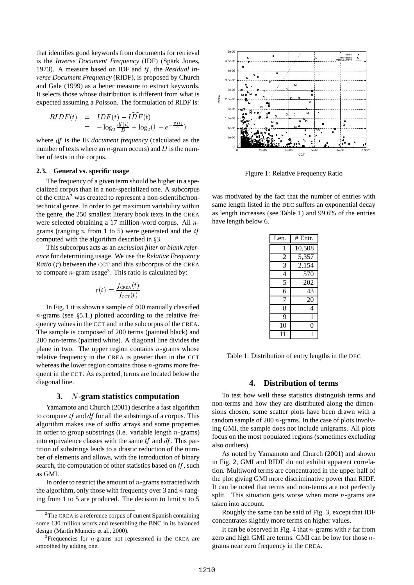that identifies good keywords from documents for retrieval is the *Inverse Document Frequency* (IDF) (Spärk Jones, 1973). A measure based on IDF and *tf*, the *Residual Inverse Document Frequency* (RIDF), is proposed by Church and Gale (1999) as a better measure to extract keywords. It selects those whose distribution is different from what is expected assuming a Poisson. The formulation of RIDF is:

$$
RIDF(t) = IDF(t) - I\widehat{DF}(t)
$$
  
=  $-\log_2 \frac{df(t)}{D} + \log_2(1 - e^{-\frac{tf(t)}{D}})$ 

where *df* is the IE *document frequency* (calculated as the number of texts where an *n*-gram occurs) and D is the number of texts in the corpus.

#### **2.3. General vs. specific usage**

The frequency of a given term should be higher in a specialized corpus than in a non-specialized one. A subcorpus of the CREA<sup>2</sup> was created to represent a non-scientific/nontechnical genre. In order to get maximum variability within the genre, the 250 smallest literary book texts in the CREA were selected obtaining a 17 million-word corpus. All  $n$ grams (ranging  $n$  from 1 to 5) were generated and the  $tf$ computed with the algorithm described in  $\S 3$ .

This subcorpus acts as an *exclusion filter* or *blank reference* for determining usage. We use the *Relative Frequency Ratio*  $(r)$  between the CCT and this subcorpus of the CREA to compare  $n$ -gram usage<sup>3</sup>. This ratio is calculated by:

$$
r(t) = \frac{f_{\texttt{CREA}}(t)}{f_{\texttt{CCT}}(t)}
$$

In Fig. 1 it is shown a sample of 400 manually classified  $n$ -grams (see §5.1.) plotted according to the relative frequency values in the CCT and in the subcorpus of the CREA. The sample is composed of 200 terms (painted black) and 200 non-terms (painted white). A diagonal line divides the plane in two. The upper region contains  $n$ -grams whose relative frequency in the CREA is greater than in the CCT whereas the lower region contains those  $n$ -grams more frequent in the CCT. As expected, terms are located below the diagonal line.

#### **3.** \***-gram statistics computation**

Yamamoto and Church (2001) describe a fast algorithm to compute  $tf$  and  $df$  for all the substrings of a corpus. This algorithm makes use of suffix arrays and some properties in order to group substrings (i.e. variable length  $n$ -grams) into equivalence classes with the same  $tf$  and  $df$ . This partition of substrings leads to a drastic reduction of the number of elements and allows, with the introduction of binary search, the computation of other statistics based on  $tf$ , such as GMI.

In order to restrict the amount of  $n$ -grams extracted with the algorithm, only those with frequency over 3 and  $n$  ranging from 1 to 5 are produced. The decision to limit  $n$  to 5



Figure 1: Relative Frequency Ratio

was motivated by the fact that the number of entries with same length listed in the DEC suffers an exponential decay as length increases (see Table 1) and 99.6% of the entries have length below 6.

| Len.           | # Entr. |
|----------------|---------|
| 1              | 10,508  |
| $\overline{2}$ | 5,357   |
| $\overline{3}$ | 2,154   |
| $\overline{4}$ | 570     |
| 5              | 202     |
| 6              | 43      |
| 7              | 20      |
| 8              | 4       |
| 9              | 1       |
| 10             | 0       |
| 11             | 1       |

Table 1: Distribution of entry lengths in the DEC

## **4. Distribution of terms**

To test how well these statistics distinguish terms and non-terms and how they are distributed along the dimensions chosen, some scatter plots have been drawn with a random sample of 200  $n$ -grams. In the case of plots involving GMI, the sample does not include unigrams. All plots focus on the most populated regions (sometimes excluding also outliers).

As noted by Yamamoto and Church (2001) and shown in Fig. 2, GMI and RIDF do not exhibit apparent correlation. Multiword terms are concentrated in the upper half of the plot giving GMI more discriminative power than RIDF. It can be noted that terms and non-terms are not perfectly split. This situation gets worse when more  $n$ -grams are taken into account.

Roughly the same can be said of Fig. 3, except that IDF concentrates slightly more terms on higher values.

It can be observed in Fig. 4 that  $n$ -grams with  $r$  far from zero and high GMI are terms. GMI can be low for those  $n$ grams near zero frequency in the CREA.

 ${}^{2}$ The CREA is a reference corpus of current Spanish containing some 130 million words and resembling the BNC in its balanced design (Martín Municio et al., 2000).

 $3$ Frequencies for *n*-grams not represented in the CREA are smoothed by adding one.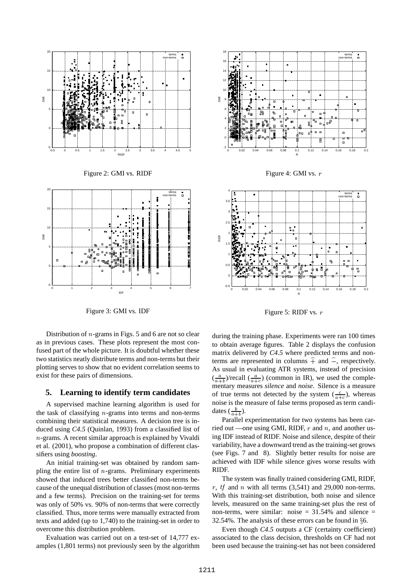

Figure 3: GMI vs. IDF

Distribution of  $n$ -grams in Figs. 5 and 6 are not so clear as in previous cases. These plots represent the most confused part of the whole picture. It is doubtful whether these two statistics neatly distribute terms and non-terms but their plotting serves to show that no evident correlation seems to exist for these pairs of dimensions.

#### **5. Learning to identify term candidates**

A supervised machine learning algorithm is used for the task of classifying  $n$ -grams into terms and non-terms combining their statistical measures. A decision tree is induced using *C4.5* (Quinlan, 1993) from a classified list of  $n$ -grams. A recent similar approach is explained by Vivaldi et al. (2001), who propose a combination of different classifiers using *boosting*.

An initial training-set was obtained by random sampling the entire list of  $n$ -grams. Preliminary experiments showed that induced trees better classified non-terms because of the unequal distribution of classes (most non-terms and a few terms). Precision on the training-set for terms was only of 50% vs. 90% of non-terms that were correctly classified. Thus, more terms were manually extracted from texts and added (up to 1,740) to the training-set in order to overcome this distribution problem.

Evaluation was carried out on a test-set of 14,777 examples (1,801 terms) not previously seen by the algorithm



Figure 4: GMI vs.  $r$ 



Figure 5: RIDF vs.  $r$ 

during the training phase. Experiments were ran 100 times to obtain average figures. Table 2 displays the confusion matrix delivered by *C4.5* where predicted terms and nonterms are represented in columns  $\hat{+}$  and  $\hat{-}$ , respectively. As usual in evaluating ATR systems, instead of precision  $\left(\frac{a}{a+b}\right)$ /recall  $\left(\frac{a}{a+c}\right)$  (common in IR), we used the complementary measures *silence* and *noise*. Silence is a measure of true terms not detected by the system  $(\frac{c}{a+c})$ , whereas noise is the measure of false terms proposed as term candidates  $(\frac{b}{a+b})$ .

Parallel experimentation for two systems has been carried out —one using GMI, RIDF,  $r$  and  $n$ , and another using IDF instead of RIDF. Noise and silence, despite of their variability, have a downward trend as the training-set grows (see Figs. 7 and 8). Slightly better results for noise are achieved with IDF while silence gives worse results with RIDF.

The system was finally trained considering GMI, RIDF, r,  $tf$  and  $n$  with all terms (3,541) and 29,000 non-terms. With this training-set distribution, both noise and silence levels, measured on the same training-set plus the rest of non-terms, were similar: noise  $= 31.54\%$  and silence  $=$ 32.54%. The analysis of these errors can be found in  $§6$ .

Even though *C4.5* outputs a CF (certainty coefficient) associated to the class decision, thresholds on CF had not been used because the training-set has not been considered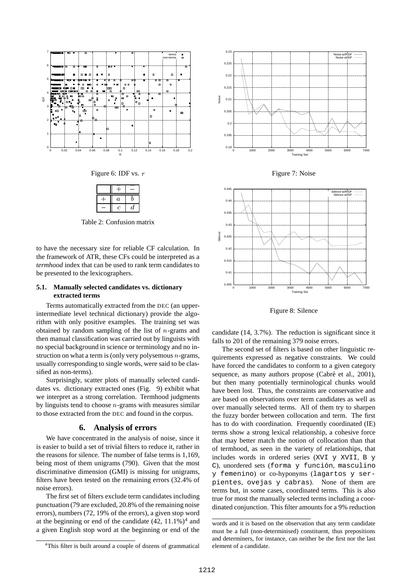



Table 2: Confusion matrix

to have the necessary size for reliable CF calculation. In the framework of ATR, these CFs could be interpreted as a *termhood* index that can be used to rank term candidates to be presented to the lexicographers.

#### **5.1. Manually selected candidates vs. dictionary extracted terms**

Terms automatically extracted from the DEC (an upperintermediate level technical dictionary) provide the algorithm with only positive examples. The training set was obtained by random sampling of the list of  $n$ -grams and then manual classification was carried out by linguists with no special background in science or terminology and no instruction on what a term is (only very polysemous  $n$ -grams, usually corresponding to single words, were said to be classified as non-terms).

Surprisingly, scatter plots of manually selected candidates vs. dictionary extracted ones (Fig. 9) exhibit what we interpret as a strong correlation. Termhood judgments by linguists tend to choose  $n$ -grams with measures similar to those extracted from the DEC and found in the corpus.

### **6. Analysis of errors**

We have concentrated in the analysis of noise, since it is easier to build a set of trivial filters to reduce it, rather in the reasons for silence. The number of false terms is 1,169, being most of them unigrams (790). Given that the most discriminative dimension (GMI) is missing for unigrams, filters have been tested on the remaining errors (32.4% of noise errors).

The first set of filters exclude term candidates including punctuation (79 are excluded, 20.8% of the remaining noise errors), numbers (72, 19% of the errors), a given stop word at the beginning or end of the candidate  $(42, 11.1\%)^4$  and a given English stop word at the beginning or end of the



Figure 7: Noise



Figure 8: Silence

candidate (14, 3.7%). The reduction is significant since it falls to 201 of the remaining 379 noise errors.

The second set of filters is based on other linguistic requirements expressed as negative constraints. We could have forced the candidates to conform to a given category sequence, as many authors propose (Cabré et al., 2001), but then many potentially terminological chunks would have been lost. Thus, the constraints are conservative and are based on observations over term candidates as well as over manually selected terms. All of them try to sharpen the fuzzy border between collocation and term. The first has to do with coordination. Frequently coordinated (IE) terms show a strong lexical relationship, a cohesive force that may better match the notion of collocation than that of termhood, as seen in the variety of relationships, that includes words in ordered series (XVI y XVII, B y C), unordered sets (forma y función, masculino y femenino) or co-hyponyms (lagartos y serpientes, ovejas y cabras). None of them are terms but, in some cases, coordinated terms. This is also true for most the manually selected terms including a coordinated conjunction. This filter amounts for a 9% reduction

words and it is based on the observation that any term candidate must be a full (non-determinised) constituent, thus prepositions and determiners, for instance, can neither be the first nor the last element of a candidate.

<sup>&</sup>lt;sup>4</sup>This filter is built around a couple of dozens of grammatical